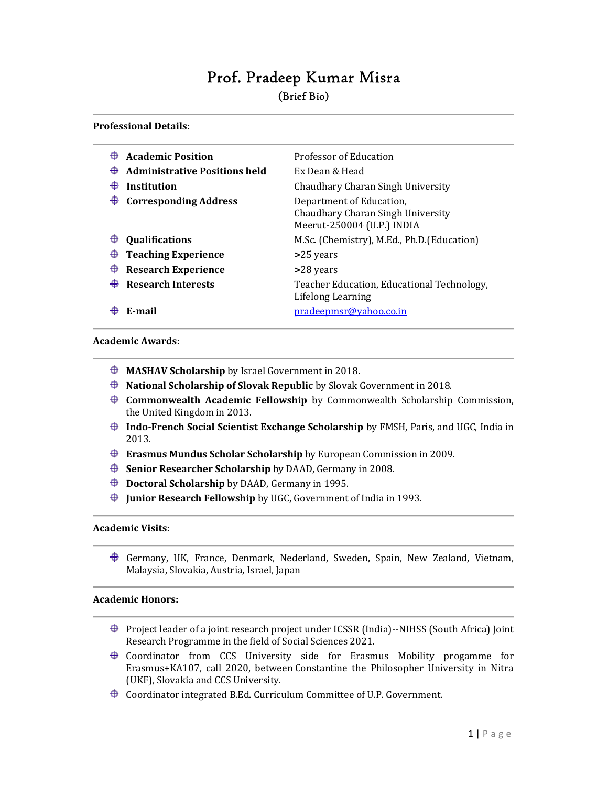# Prof. Pradeep Kumar Misra (Brief Bio)

# Professional Details:

| ⊕<br>⊕<br>⊕ | <b>Academic Position</b><br><b>Administrative Positions held</b><br>Institution<br><b>Corresponding Address</b> | Professor of Education<br>Ex Dean & Head<br>Chaudhary Charan Singh University<br>Department of Education, |
|-------------|-----------------------------------------------------------------------------------------------------------------|-----------------------------------------------------------------------------------------------------------|
|             |                                                                                                                 | Chaudhary Charan Singh University<br>Meerut-250004 (U.P.) INDIA                                           |
| ⊕           | <b>Qualifications</b>                                                                                           | M.Sc. (Chemistry), M.Ed., Ph.D. (Education)                                                               |
| ⊕           | <b>Teaching Experience</b>                                                                                      | >25 years                                                                                                 |
| ⊕           | <b>Research Experience</b>                                                                                      | >28 years                                                                                                 |
|             | <b>Research Interests</b>                                                                                       | Teacher Education, Educational Technology,<br>Lifelong Learning                                           |
|             | F-mail                                                                                                          | pradeepmsr@yahoo.co.in                                                                                    |

# Academic Awards:

- $\bigoplus$  MASHAV Scholarship by Israel Government in 2018.
- $\bigoplus$  National Scholarship of Slovak Republic by Slovak Government in 2018.
- $\bigoplus$  Commonwealth Academic Fellowship by Commonwealth Scholarship Commission, the United Kingdom in 2013.
- $\bigoplus$  Indo-French Social Scientist Exchange Scholarship by FMSH, Paris, and UGC, India in 2013.
- $\bigoplus$  Erasmus Mundus Scholar Scholarship by European Commission in 2009.
- $\bigoplus$  Senior Researcher Scholarship by DAAD, Germany in 2008.
- $\bigoplus$  Doctoral Scholarship by DAAD, Germany in 1995.
- $\bigoplus$  Junior Research Fellowship by UGC, Government of India in 1993.

# Academic Visits:

Germany, UK, France, Denmark, Nederland, Sweden, Spain, New Zealand, Vietnam, Malaysia, Slovakia, Austria, Israel, Japan

# Academic Honors:

- $\bigoplus$  Project leader of a joint research project under ICSSR (India)--NIHSS (South Africa) Joint Research Programme in the field of Social Sciences 2021.
- Coordinator from CCS University side for Erasmus Mobility progamme for Erasmus+KA107, call 2020, between Constantine the Philosopher University in Nitra (UKF), Slovakia and CCS University.
- $\bigoplus$  Coordinator integrated B.Ed. Curriculum Committee of U.P. Government.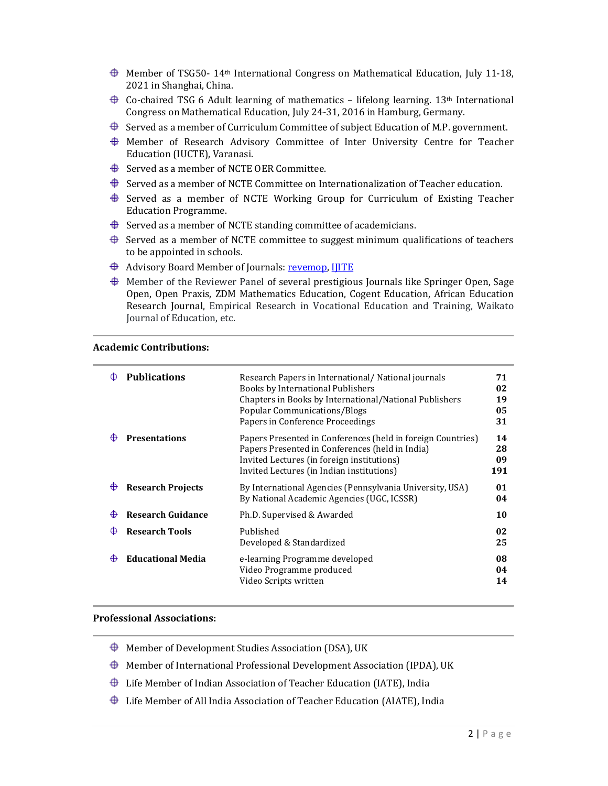- $\bigoplus$  Member of TSG50-14<sup>th</sup> International Congress on Mathematical Education, July 11-18, 2021 in Shanghai, China.
- $\bigoplus$  Co-chaired TSG 6 Adult learning of mathematics lifelong learning. 13<sup>th</sup> International Congress on Mathematical Education, July 24-31, 2016 in Hamburg, Germany.
- $\bigoplus$  Served as a member of Curriculum Committee of subject Education of M.P. government.
- Member of Research Advisory Committee of Inter University Centre for Teacher Education (IUCTE), Varanasi.
- $\bigoplus$  Served as a member of NCTE OER Committee.
- $\bigoplus$  Served as a member of NCTE Committee on Internationalization of Teacher education.
- $\bigoplus$  Served as a member of NCTE Working Group for Curriculum of Existing Teacher Education Programme.
- $\bigoplus$  Served as a member of NCTE standing committee of academicians.
- $\bigoplus$  Served as a member of NCTE committee to suggest minimum qualifications of teachers to be appointed in schools.
- **Advisory Board Member of Journals: revemop, IJITE**
- $\bigoplus$  Member of the Reviewer Panel of several prestigious Journals like Springer Open, Sage Open, Open Praxis, ZDM Mathematics Education, Cogent Education, African Education Research Journal, Empirical Research in Vocational Education and Training, Waikato Journal of Education, etc.

#### Academic Contributions:

|   | <b>Publications</b>      | Research Papers in International/National journals<br>Books by International Publishers<br>Chapters in Books by International/National Publishers<br>Popular Communications/Blogs<br>Papers in Conference Proceedings | 71<br>02<br>19<br>05<br>31 |
|---|--------------------------|-----------------------------------------------------------------------------------------------------------------------------------------------------------------------------------------------------------------------|----------------------------|
|   | <b>Presentations</b>     | Papers Presented in Conferences (held in foreign Countries)<br>Papers Presented in Conferences (held in India)<br>Invited Lectures (in foreign institutions)<br>Invited Lectures (in Indian institutions)             | 14<br>28<br>09<br>191      |
| ⊕ | <b>Research Projects</b> | By International Agencies (Pennsylvania University, USA)<br>By National Academic Agencies (UGC, ICSSR)                                                                                                                | 01<br>04                   |
| ⊕ | <b>Research Guidance</b> | Ph.D. Supervised & Awarded                                                                                                                                                                                            | 10                         |
|   | <b>Research Tools</b>    | Published<br>Developed & Standardized                                                                                                                                                                                 | 02<br>25                   |
| ⊕ | <b>Educational Media</b> | e-learning Programme developed<br>Video Programme produced<br>Video Scripts written                                                                                                                                   | 08<br>04<br>14             |

# Professional Associations:

- $\bigoplus$  Member of Development Studies Association (DSA), UK
- $\bigoplus$  Member of International Professional Development Association (IPDA), UK
- $\bigoplus$  Life Member of Indian Association of Teacher Education (IATE), India
- $\bigoplus$  Life Member of All India Association of Teacher Education (AIATE), India